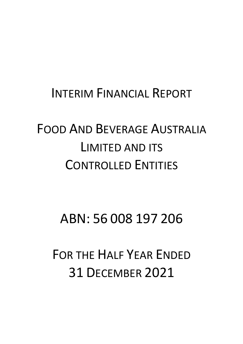# INTERIM FINANCIAL REPORT

# FOOD AND BEVERAGE AUSTRALIA LIMITED AND ITS CONTROLLED ENTITIES

# ABN: 56 008 197 206

FOR THE HALF YEAR ENDED 31 DECEMBER 2021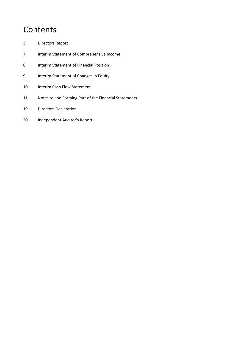# **Contents**

- 3 Directors Report
- 7 Interim Statement of Comprehensive Income
- 8 Interim Statement of Financial Position
- 9 **Interim Statement of Changes in Equity**
- 10 Interim Cash Flow Statement
- 11 Notes to and Forming Part of the Financial Statements
- 19 Directors Declaration
- 20 Independent Auditor's Report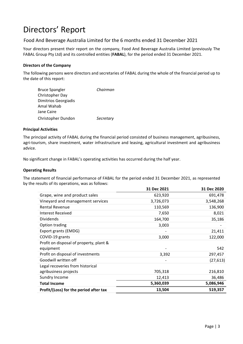#### Food And Beverage Australia Limited for the 6 months ended 31 December 2021

Your directors present their report on the company, Food And Beverage Australia Limited (previously The FABAL Group Pty Ltd) and its controlled entities (**FABAL**), for the period ended 31 December 2021.

#### **Directors of the Company**

The following persons were directors and secretaries of FABAL during the whole of the financial period up to the date of this report:

| <b>Bruce Spangler</b>       | Chairman  |
|-----------------------------|-----------|
| Christopher Day             |           |
| <b>Dimitrios Georgiadis</b> |           |
| Amal Wahab                  |           |
| Jane Caire                  |           |
| Christopher Dundon          | Secretary |

#### **Principal Activities**

The principal activity of FABAL during the financial period consisted of business management, agribusiness, agri-tourism, share investment, water infrastructure and leasing, agricultural investment and agribusiness advice.

No significant change in FABAL's operating activities has occurred during the half year.

#### **Operating Results**

The statement of financial performance of FABAL for the period ended 31 December 2021, as represented by the results of its operations, was as follows:

|                                         | 31 Dec 2021 | 31 Dec 2020 |
|-----------------------------------------|-------------|-------------|
| Grape, wine and product sales           | 623,920     | 691,478     |
| Vineyard and management services        | 3,726,073   | 3,548,268   |
| <b>Rental Revenue</b>                   | 110,569     | 136,900     |
| <b>Interest Received</b>                | 7,650       | 8,021       |
| <b>Dividends</b>                        | 164,700     | 35,186      |
| Option trading                          | 3,003       |             |
| Export grants (EMDG)                    |             | 21,411      |
| COVID-19 grants                         | 3,000       | 122,000     |
| Profit on disposal of property, plant & |             |             |
| equipment                               |             | 542         |
| Profit on disposal of investments       | 3,392       | 297,457     |
| Goodwill written off                    |             | (27, 613)   |
| Legal recoveries from historical        |             |             |
| agribusiness projects                   | 705,318     | 216,810     |
| Sundry Income                           | 12,413      | 36,486      |
| <b>Total Income</b>                     | 5,360,039   | 5,086,946   |
| Profit/(Loss) for the period after tax  | 13,504      | 519,357     |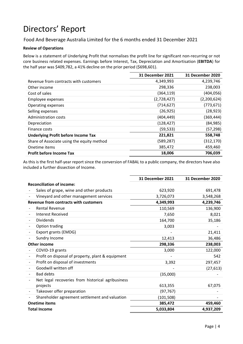Food And Beverage Australia Limited for the 6 months ended 31 December 2021

#### **Review of Operations**

Below is a statement of Underlying Profit that normalises the profit line for significant non‐recurring or not core business related expenses. Earnings before Interest, Tax, Depreciation and Amortisation (**EBITDA**) for the half year was \$409,782, a 41% decline on the prior period (\$698,601).

|                                            | <b>31 December 2021</b> | <b>31 December 2020</b> |
|--------------------------------------------|-------------------------|-------------------------|
| Revenue from contracts with customers      | 4,349,993               | 4,239,746               |
| Other income                               | 298,336                 | 238,003                 |
| Cost of sales                              | (364, 119)              | (404, 056)              |
| Employee expenses                          | (2,728,427)             | (2,200,624)             |
| Operating expenses                         | (714, 627)              | (773, 671)              |
| Selling expenses                           | (26, 925)               | (28, 923)               |
| Administration costs                       | (404, 449)              | (369,444)               |
| Depreciation                               | (128, 427)              | (84, 985)               |
| Finance costs                              | (59, 533)               | (57, 298)               |
| <b>Underlying Profit before Income Tax</b> | 221,821                 | 558,748                 |
| Share of Associate using the equity method | (589, 287)              | (312, 170)              |
| Onetime items                              | 385,472                 | 459,460                 |
| <b>Profit before Income Tax</b>            | 18,006                  | 706,039                 |

As this is the first half‐year report since the conversion of FABAL to a public company, the directors have also included a further dissection of Income.

|                                                                               | <b>31 December 2021</b> | 31 December 2020 |
|-------------------------------------------------------------------------------|-------------------------|------------------|
| <b>Reconciliation of income:</b>                                              |                         |                  |
| Sales of grape, wine and other products                                       | 623,920                 | 691,478          |
| Vineyard and other management services                                        | 3,726,073               | 3,548,268        |
| <b>Revenue from contracts with customers</b>                                  | 4,349,993               | 4,239,746        |
| <b>Rental Revenue</b>                                                         | 110,569                 | 136,900          |
| <b>Interest Received</b>                                                      | 7,650                   | 8,021            |
| <b>Dividends</b>                                                              | 164,700                 | 35,186           |
| Option trading                                                                | 3,003                   |                  |
| Export grants (EMDG)                                                          |                         | 21,411           |
| Sundry Income                                                                 | 12,413                  | 36,486           |
| <b>Other income</b>                                                           | 298,336                 | 238,003          |
| COVID-19 grants                                                               | 3,000                   | 122,000          |
| Profit on disposal of property, plant & equipment<br>$\overline{\phantom{a}}$ |                         | 542              |
| Profit on disposal of investments                                             | 3,392                   | 297,457          |
| Goodwill written off                                                          |                         | (27, 613)        |
| <b>Bad debts</b>                                                              | (35,000)                |                  |
| Net legal recoveries from historical agribusiness                             |                         |                  |
| projects                                                                      | 613,355                 | 67,075           |
| Takeover offer preparation                                                    | (97, 767)               |                  |
| Shareholder agreement settlement and valuation                                | (101, 508)              |                  |
| <b>Onetime items</b>                                                          | 385,472                 | 459,460          |
| <b>Total Income</b>                                                           | 5,033,804               | 4,937,209        |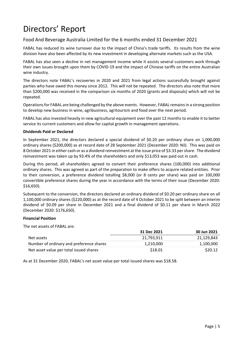#### Food And Beverage Australia Limited for the 6 months ended 31 December 2021

FABAL has reduced its wine turnover due to the impact of China's trade tariffs. Its results from the wine division have also been affected by its new investment in developing alternate markets such as the USA.

FABAL has also seen a decline in net management income while it assists several customers work through their own issues brought upon them by COVID‐19 and the impact of Chinese tariffs on the entire Australian wine industry.

The directors note FABAL's recoveries in 2020 and 2021 from legal actions successfully brought against parties who have owed this money since 2012. This will not be repeated. The directors also note that more than \$200,000 was received in the comparison six months of 2020 (grants and disposals) which will not be repeated.

Operations for FABAL are being challenged by the above events. However, FABAL remains in a strong position to develop new business in wine, agribusiness, agritourism and food over the next period.

FABAL has also invested heavily in new agricultural equipment over the past 12 months to enable it to better service its current customers and allow for capital growth in management operations.

#### **Dividends Paid or Declared**

In September 2021, the directors declared a special dividend of \$0.20 per ordinary share on 1,000,000 ordinary shares (\$200,000) as at record date of 28 September 2021 (December 2020: Nil). This was paid on 8 October 2021 in either cash or as a dividend reinvestment at the issue price of \$3.33 per share. The dividend reinvestment was taken up by 93.4% of the shareholders and only \$13,053 was paid out in cash.

During this period, all shareholders agreed to convert their preference shares (100,000) into additional ordinary shares. This was agreed as part of the preparation to make offers to acquire related entities. Prior to their conversion, a preference dividend totalling \$8,000 (or 8 cents per share) was paid on 100,000 convertible preference shares during the year in accordance with the terms of their issue (December 2020: \$16,650).

Subsequent to the conversion, the directors declared an ordinary dividend of \$0.20 per ordinary share on all 1,100,000 ordinary shares (\$220,000) as at the record date of 4 October 2021 to be split between an interim dividend of \$0.09 per share in December 2021 and a final dividend of \$0.11 per share in March 2022 (December 2020: \$176,650).

#### **Financial Position**

The net assets of FABAL are:

|                                          | 31 Dec 2021 | 30 Jun 2021 |
|------------------------------------------|-------------|-------------|
| Net assets                               | 21.793.911  | 21.129.843  |
| Number of ordinary and preference shares | 1.210.000   | 1.100.000   |
| Net asset value per total issued shares  | \$18.01     | \$20.12     |

As at 31 December 2020, FABAL's net asset value per total issued shares was \$18.58.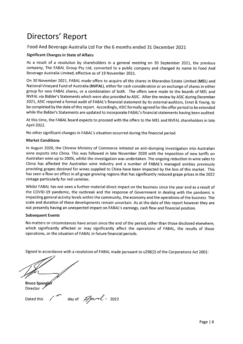#### Food And Beverage Australia Ltd For the 6 months ended 31 December 2021

#### **Significant Changes in State of Affairs**

As a result of a resolution by shareholders in a general meeting on 30 September 2021, the previous company, The FABAL Group Pty Ltd, converted to a public company and changed its name to Food And Beverage Australia Limited, effective as of 19 November 2021.

On 30 November 2021, FABAL made offers to acquire all the shares in Marandoo Estate Limited (MEL) and National Vineyard Fund of Australia (NVFAL), either for cash consideration or an exchange of shares in either group for new FABAL shares, or a combination of both. The offers were made to the boards of MEL and NVFAL via Bidder's Statements which were also provided to ASIC. After the review by ASIC during December 2021, ASIC required a formal audit of FABAL's financial statement by its external auditors, Ernst & Young, to be completed by the date of this report. Accordingly, ASIC formally agreed for the offer period to be extended while the Bidder's Statements are updated to incorporate FABAL's financial statements having been audited.

At this time, the FABAL board expects to proceed with the offers to the MEL and NVFAL shareholders in late April 2022.

No other significant changes in FABAL's situation occurred during the financial period.

#### **Market Conditions**

In August 2020, the Chinese Ministry of Commerce initiated an anti-dumping investigation into Australian wine exports into China. This was followed in late November 2020 with the imposition of new tariffs on Australian wine up to 200%, whilst the investigation was undertaken. The ongoing reduction in wine sales to China has affected the Australian wine industry and a number of FABAL's managed entities previously providing grapes destined for wines supplied to China have been impacted by the loss of this market. This has seen a flow-on effect in all grape growing regions that has significantly reduced grape prices in the 2022 vintage particularly for red varieties.

Whilst FABAL has not seen a further material direct impact on the business since the year end as a result of the COVID-19 pandemic, the outbreak and the response of Government in dealing with the pandemic is impacting general activity levels within the community, the economy and the operations of the business. The scale and duration of these developments remain uncertain. As at the date of this report however they are not presently having an unexpected impact on FABAL's earnings, cash flow and financial position.

#### **Subsequent Events**

No matters or circumstances have arisen since the end of the period, other than those disclosed elsewhere, which significantly affected or may significantly affect the operations of FABAL, the results of those operations, or the situation of FABAL in future financial periods.

Signed in accordance with a resolution of FABAL made pursuant to s298(2) of the Corporations Act 2001:

**Bruce Spangle** Director

day of  $\mathbb{Z}_{p}$  and 1 2022 Dated this

Page  $| 6$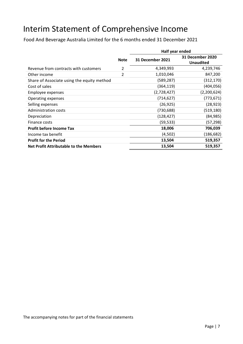# Interim Statement of Comprehensive Income

Food And Beverage Australia Limited for the 6 months ended 31 December 2021

|                                               |                | Half year ended  |                                             |  |
|-----------------------------------------------|----------------|------------------|---------------------------------------------|--|
|                                               | <b>Note</b>    | 31 December 2021 | <b>31 December 2020</b><br><b>Unaudited</b> |  |
| Revenue from contracts with customers         | $\overline{2}$ | 4,349,993        | 4,239,746                                   |  |
| Other income                                  | $\overline{2}$ | 1,010,046        | 847,200                                     |  |
| Share of Associate using the equity method    |                | (589, 287)       | (312, 170)                                  |  |
| Cost of sales                                 |                | (364, 119)       | (404, 056)                                  |  |
| Employee expenses                             |                | (2,728,427)      | (2,200,624)                                 |  |
| Operating expenses                            |                | (714, 627)       | (773, 671)                                  |  |
| Selling expenses                              |                | (26, 925)        | (28, 923)                                   |  |
| Administration costs                          |                | (730, 688)       | (519, 180)                                  |  |
| Depreciation                                  |                | (128, 427)       | (84, 985)                                   |  |
| Finance costs                                 |                | (59,533)         | (57, 298)                                   |  |
| <b>Profit before Income Tax</b>               |                | 18,006           | 706,039                                     |  |
| Income tax benefit                            |                | (4,502)          | (186, 682)                                  |  |
| <b>Profit for the Period</b>                  |                | 13,504           | 519,357                                     |  |
| <b>Net Profit Attributable to the Members</b> |                | 13,504           | 519,357                                     |  |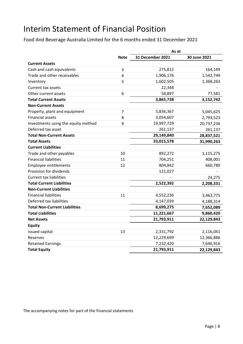# Interim Statement of Financial Position

Food And Beverage Australia Limited for the 6 months ended 31 December 2021

|                                      |             | As at                   |              |  |
|--------------------------------------|-------------|-------------------------|--------------|--|
|                                      | <b>Note</b> | <b>31 December 2021</b> | 30 June 2021 |  |
| <b>Current Assets</b>                |             |                         |              |  |
| Cash and cash equivalents            | 3           | 275,812                 | 164,149      |  |
| Trade and other receivables          | 4           | 1,906,176               | 1,542,749    |  |
| Inventory                            | 5           | 1,602,505               | 1,368,263    |  |
| Current tax assets                   |             | 22,348                  |              |  |
| Other current assets                 | 6           | 58,897                  | 77,581       |  |
| <b>Total Current Assets</b>          |             | 3,865,738               | 3,152,742    |  |
| <b>Non-Current Assets</b>            |             |                         |              |  |
| Property, plant and equipment        | 7           | 5,836,367               | 5,045,625    |  |
| <b>Financial assets</b>              | 8           | 3,054,607               | 2,793,523    |  |
| Investments using the equity method  | 9           | 19,997,729              | 20,737,236   |  |
| Deferred tax asset                   |             | 261,137                 | 261,137      |  |
| <b>Total Non-Current Assets</b>      |             | 29,149,840              | 28,837,521   |  |
| <b>Total Assets</b>                  |             | 33,015,578              | 31,990,263   |  |
| <b>Current Liabilities</b>           |             |                         |              |  |
| Trade and other payables             | 10          | 892,272                 | 1,115,275    |  |
| <b>Financial liabilities</b>         | 11          | 704,251                 | 408,001      |  |
| <b>Employee entitlements</b>         | 12          | 804,842                 | 660,780      |  |
| Provision for dividends              |             | 121,027                 |              |  |
| <b>Current tax liabilities</b>       |             |                         | 24,275       |  |
| <b>Total Current Liabilities</b>     |             | 2,522,392               | 2,208,331    |  |
| <b>Non-Current Liabilities</b>       |             |                         |              |  |
| <b>Financial liabilities</b>         | 11          | 4,552,236               | 3,463,775    |  |
| Deferred tax liabilities             |             | 4,147,039               | 4,188,314    |  |
| <b>Total Non-Current Liabilities</b> |             | 8,699,275               | 7,652,089    |  |
| <b>Total Liabilities</b>             |             | 11,221,667              | 9,860,420    |  |
| <b>Net Assets</b>                    |             | 21,793,911              | 22,129,843   |  |
| <b>Equity</b>                        |             |                         |              |  |
| Issued capital                       | 13          | 2,331,792               | 2,116,041    |  |
| Reserves                             |             | 12,229,699              | 12,366,886   |  |
| <b>Retained Earnings</b>             |             | 7,232,420               | 7,646,916    |  |
| <b>Total Equity</b>                  |             | 21,793,911              | 22,129,843   |  |

The accompanying notes for part of the financial statements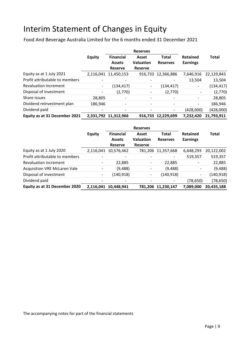# Interim Statement of Changes in Equity

Food And Beverage Australia Limited for the 6 months ended 31 December 2021

|                                | <b>Reserves</b>          |                          |                  |                 |                          |              |
|--------------------------------|--------------------------|--------------------------|------------------|-----------------|--------------------------|--------------|
|                                | <b>Equity</b>            | <b>Financial</b>         | Asset            | <b>Total</b>    | <b>Retained</b>          | <b>Total</b> |
|                                |                          | <b>Assets</b>            | <b>Valuation</b> | <b>Reserves</b> | <b>Earnings</b>          |              |
|                                |                          | <b>Reserve</b>           | <b>Reserve</b>   |                 |                          |              |
| Equity as at 1 July 2021       |                          | 2,116,041 11,450,153     | 916,733          | 12,366,886      | 7,646,916                | 22,129,843   |
| Profit attributable to members | $\overline{\phantom{0}}$ | $\overline{\phantom{a}}$ |                  |                 | 13,504                   | 13,504       |
| <b>Revaluation increment</b>   | -                        | (134,417)                | -                | (134, 417)      | $\overline{\phantom{a}}$ | (134, 417)   |
| Disposal of investment         |                          | (2,770)                  |                  | (2,770)         |                          | (2,770)      |
| Share issues                   | 28,805                   | $\overline{\phantom{a}}$ |                  |                 | -                        | 28,805       |
| Dividend reinvestment plan     | 186,946                  | $\overline{\phantom{a}}$ |                  | -               | $\overline{\phantom{a}}$ | 186,946      |
| Dividend paid                  |                          | $\overline{\phantom{a}}$ |                  |                 | (428,000)                | (428,000)    |
| Equity as at 31 December 2021  |                          | 2,331,792 11,312,966     | 916,733          | 12,229,699      | 7,232,420                | 21,793,911   |

|                                     |                          | <b>Reserves</b>                                     |                                             |                                 |                                    |              |
|-------------------------------------|--------------------------|-----------------------------------------------------|---------------------------------------------|---------------------------------|------------------------------------|--------------|
|                                     | <b>Equity</b>            | <b>Financial</b><br><b>Assets</b><br><b>Reserve</b> | Asset<br><b>Valuation</b><br><b>Reserve</b> | <b>Total</b><br><b>Reserves</b> | <b>Retained</b><br><b>Earnings</b> | <b>Total</b> |
| Equity as at 1 July 2020            |                          | 2,116,041 10,576,462                                |                                             | 781,206 11,357,668              | 6,648,293                          | 20,122,002   |
| Profit attributable to members      |                          |                                                     |                                             |                                 | 519,357                            | 519,357      |
| <b>Revaluation increment</b>        |                          | 22,885                                              | $\qquad \qquad \blacksquare$                | 22,885                          | -                                  | 22,885       |
| <b>Acquisition VRE McLaren Vale</b> |                          | (9,488)                                             | -                                           | (9,488)                         |                                    | (9, 488)     |
| Disposal of investment              | $\overline{\phantom{a}}$ | (140, 918)                                          | $\overline{\phantom{a}}$                    | (140, 918)                      | $\overline{\phantom{a}}$           | (140, 918)   |
| Dividend paid                       |                          | ٠                                                   |                                             |                                 | (78, 650)                          | (78, 650)    |
| Equity as at 31 December 2020       | 2,116,041                | 10,448,941                                          | 781,206                                     | 11,230,147                      | 7,089,000                          | 20,435,188   |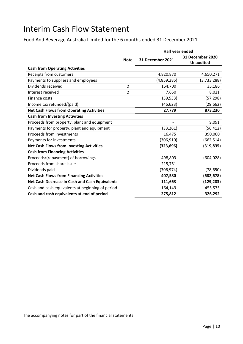## Interim Cash Flow Statement

Food And Beverage Australia Limited for the 6 months ended 31 December 2021

|                                                  |                | Half year ended  |                                      |  |
|--------------------------------------------------|----------------|------------------|--------------------------------------|--|
|                                                  | <b>Note</b>    | 31 December 2021 | 31 December 2020<br><b>Unaudited</b> |  |
| <b>Cash from Operating Activities</b>            |                |                  |                                      |  |
| Receipts from customers                          |                | 4,820,870        | 4,650,271                            |  |
| Payments to suppliers and employees              |                | (4,859,285)      | (3,733,288)                          |  |
| Dividends received                               | $\overline{2}$ | 164,700          | 35,186                               |  |
| Interest received                                | $\overline{2}$ | 7,650            | 8,021                                |  |
| Finance costs                                    |                | (59, 533)        | (57, 298)                            |  |
| Income tax refunded/(paid)                       |                | (46, 623)        | (29, 662)                            |  |
| <b>Net Cash Flows from Operating Activities</b>  |                | 27,779           | 873,230                              |  |
| <b>Cash from Investing Activities</b>            |                |                  |                                      |  |
| Proceeds from property, plant and equipment      |                |                  | 9,091                                |  |
| Payments for property, plant and equipment       |                | (33, 261)        | (56, 412)                            |  |
| Proceeds from investments                        |                | 16,475           | 390,000                              |  |
| Payments for investments                         |                | (306, 910)       | (662,514)                            |  |
| <b>Net Cash Flows from Investing Activities</b>  |                | (323, 696)       | (319, 835)                           |  |
| <b>Cash from Financing Activities</b>            |                |                  |                                      |  |
| Proceeds/(repayment) of borrowings               |                | 498,803          | (604, 028)                           |  |
| Proceeds from share issue                        |                | 215,751          |                                      |  |
| Dividends paid                                   |                | (306,974)        | (78, 650)                            |  |
| <b>Net Cash Flows from Financing Activities</b>  |                | 407,580          | (682, 678)                           |  |
| Net Cash Decrease in Cash and Cash Equivalents   |                | 111,663          | (129, 283)                           |  |
| Cash and cash equivalents at beginning of period |                | 164,149          | 455,575                              |  |
| Cash and cash equivalents at end of period       |                | 275,812          | 326,292                              |  |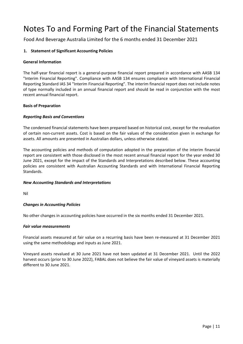Food And Beverage Australia Limited for the 6 months ended 31 December 2021

#### **1. Statement of Significant Accounting Policies**

#### **General Information**

The half‐year financial report is a general‐purpose financial report prepared in accordance with AASB 134 "Interim Financial Reporting". Compliance with AASB 134 ensures compliance with International Financial Reporting Standard IAS 34 "Interim Financial Reporting". The interim financial report does not include notes of type normally included in an annual financial report and should be read in conjunction with the most recent annual financial report.

#### **Basis of Preparation**

#### *Reporting Basis and Conventions*

The condensed financial statements have been prepared based on historical cost, except for the revaluation of certain non‐current assets. Cost is based on the fair values of the consideration given in exchange for assets. All amounts are presented in Australian dollars, unless otherwise stated.

The accounting policies and methods of computation adopted in the preparation of the interim financial report are consistent with those disclosed in the most recent annual financial report for the year ended 30 June 2021, except for the impact of the Standards and Interpretations described below. These accounting policies are consistent with Australian Accounting Standards and with International Financial Reporting Standards.

#### *New Accounting Standards and Interpretations*

Nil

#### *Changes in Accounting Policies*

No other changes in accounting policies have occurred in the six months ended 31 December 2021.

#### *Fair value measurements*

Financial assets measured at fair value on a recurring basis have been re-measured at 31 December 2021 using the same methodology and inputs as June 2021.

Vineyard assets revalued at 30 June 2021 have not been updated at 31 December 2021. Until the 2022 harvest occurs (prior to 30 June 2022), FABAL does not believe the fair value of vineyard assets is materially different to 30 June 2021.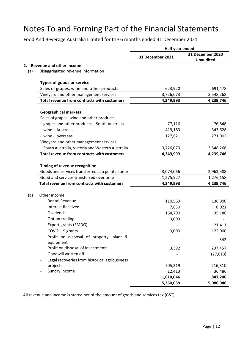Food And Beverage Australia Limited for the 6 months ended 31 December 2021

|     |                                                      | Half year ended         |                                      |  |
|-----|------------------------------------------------------|-------------------------|--------------------------------------|--|
|     |                                                      | <b>31 December 2021</b> | 31 December 2020<br><b>Unaudited</b> |  |
| 2.  | <b>Revenue and other income</b>                      |                         |                                      |  |
| (a) | Disaggregated revenue information                    |                         |                                      |  |
|     | Types of goods or service                            |                         |                                      |  |
|     | Sales of grapes, wine and other products             | 623,920                 | 691,478                              |  |
|     | Vineyard and other management services               | 3,726,073               | 3,548,268                            |  |
|     | Total revenue from contracts with customers          | 4,349,993               | 4,239,746                            |  |
|     | <b>Geographical markets</b>                          |                         |                                      |  |
|     | Sales of grapes, wine and other products             |                         |                                      |  |
|     | - grapes and other products - South Australia        | 77,116                  | 76,848                               |  |
|     | - wine - Australia                                   | 419,183                 | 343,628                              |  |
|     | - wine – overseas                                    | 127,621                 | 271,002                              |  |
|     | Vineyard and other management services               |                         |                                      |  |
|     | - South Australia, Victoria and Western Australia    | 3,726,073               | 3,548,268                            |  |
|     | Total revenue from contracts with customers          | 4,349,993               | 4,239,746                            |  |
|     |                                                      |                         |                                      |  |
|     | Timing of revenue recognition                        |                         |                                      |  |
|     | Goods and services transferred at a point in time    | 3,074,066               | 2,963,588                            |  |
|     | Good and services transferred over time              | 1,275,927               | 1,276,158                            |  |
|     | Total revenue from contracts with customers          | 4,349,993               | 4,239,746                            |  |
| (b) | Other income                                         |                         |                                      |  |
|     | Rental Revenue                                       | 110,569                 | 136,900                              |  |
|     | <b>Interest Received</b><br>$\overline{\phantom{a}}$ | 7,650                   | 8,021                                |  |
|     | <b>Dividends</b>                                     | 164,700                 | 35,186                               |  |
|     | Option trading                                       | 3,003                   |                                      |  |
|     | Export grants (EMDG)<br>$\overline{\phantom{a}}$     |                         | 21,411                               |  |
|     | COVID-19 grants                                      | 3,000                   | 122,000                              |  |
|     | Profit on disposal of property, plant &              |                         |                                      |  |
|     | equipment                                            |                         | 542                                  |  |
|     | Profit on disposal of investments                    | 3,392                   | 297,457                              |  |
|     | Goodwill written off<br>$\overline{\phantom{a}}$     |                         | (27, 613)                            |  |
|     | Legal recoveries from historical agribusiness        |                         |                                      |  |
|     | projects                                             | 705,319                 | 216,810                              |  |
|     | Sundry Income                                        | 12,413                  | 36,486                               |  |
|     |                                                      | 1,010,046               | 847,200                              |  |
|     |                                                      | 5,360,039               | 5,086,946                            |  |

All revenue and income is stated net of the amount of goods and services tax (GST).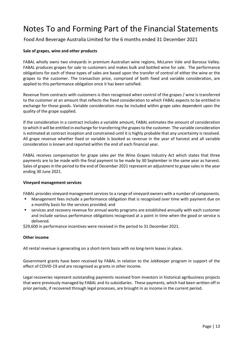Food And Beverage Australia Limited for the 6 months ended 31 December 2021

#### **Sale of grapes, wine and other products**

FABAL wholly owns two vineyards in premium Australian wine regions, McLaren Vale and Barossa Valley. FABAL produces grapes for sale to customers and makes bulk and bottled wine for sale. The performance obligations for each of these types of sales are based upon the transfer of control of either the wine or the grapes to the customer. The transaction price, comprised of both fixed and variable consideration, are applied to this performance obligation once it has been satisfied.

Revenue from contracts with customers is then recognised when control of the grapes / wine is transferred to the customer at an amount that reflects the fixed consideration to which FABAL expects to be entitled in exchange for those goods. Variable consideration may be included within grape sales dependent upon the quality of the grape supplied.

If the consideration in a contract includes a variable amount, FABAL estimates the amount of consideration to which it will be entitled in exchange for transferring the grapes to the customer. The variable consideration is estimated at contract inception and constrained until it is highly probable that any uncertainty is resolved. All grape revenue whether fixed or variable is booked as revenue in the year of harvest and all variable consideration is known and reported within the end of each financial year.

FABAL receives compensation for grape sales per the Wine Grapes Industry Act which states that three payments are to be made with the final payment to be made by 30 September in the same year as harvest. Sales of grapes in the period to the end of December 2021 represent an adjustment to grape sales in the year ending 30 June 2021.

#### **Vineyard management services**

FABAL provides vineyard management services to a range of vineyard owners with a number of components.

- Management fees include a performance obligation that is recognised over time with payment due on a monthly basis for the services provided; and
- services and recovery revenue for annual works programs are established annually with each customer and include various performance obligations recognised at a point in time when the good or service is delivered.

\$29,600 in performance incentives were received in the period to 31 December 2021.

#### **Other income**

All rental revenue is generating on a short‐term basis with no long‐term leases in place.

Government grants have been received by FABAL in relation to the JobKeeper program in support of the effect of COVID‐19 and are recognised as grants in other income.

Legal recoveries represent outstanding payments received from investors in historical agribusiness projects that were previously managed by FABAL and its subsidiaries. These payments, which had been written off in prior periods, if recovered through legal processes, are brought in as income in the current period.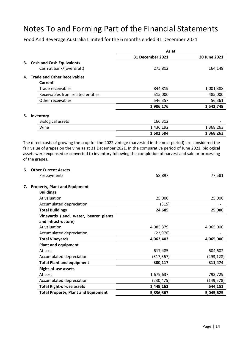Food And Beverage Australia Limited for the 6 months ended 31 December 2021

|    |                                   | As at                   |              |
|----|-----------------------------------|-------------------------|--------------|
|    |                                   | <b>31 December 2021</b> | 30 June 2021 |
|    | 3. Cash and Cash Equivalents      |                         |              |
|    | Cash at bank/(overdraft)          | 275,812                 | 164,149      |
|    | 4. Trade and Other Receivables    |                         |              |
|    | Current                           |                         |              |
|    | Trade receivables                 | 844,819                 | 1,001,388    |
|    | Receivables from related entities | 515,000                 | 485,000      |
|    | Other receivables                 | 546,357                 | 56,361       |
|    |                                   | 1,906,176               | 1,542,749    |
| 5. | Inventory                         |                         |              |
|    | <b>Biological assets</b>          | 166,312                 |              |
|    | Wine                              | 1,436,192               | 1,368,263    |
|    |                                   | 1,602,504               | 1,368,263    |

The direct costs of growing the crop for the 2022 vintage (harvested in the next period) are considered the fair value of grapes on the vine as at 31 December 2021. In the comparative period of June 2021, biological assets were expensed or converted to inventory following the completion of harvest and sale or processing of the grapes.

| 6. | <b>Other Current Assets</b>                                  |            |            |
|----|--------------------------------------------------------------|------------|------------|
|    | Prepayments                                                  | 58,897     | 77,581     |
| 7. | <b>Property, Plant and Equipment</b><br><b>Buildings</b>     |            |            |
|    | At valuation                                                 | 25,000     | 25,000     |
|    | Accumulated depreciation                                     | (315)      |            |
|    | <b>Total Buildings</b>                                       | 24,685     | 25,000     |
|    | Vineyards (land, water, bearer plants<br>and infrastructure) |            |            |
|    | At valuation                                                 | 4,085,379  | 4,065,000  |
|    | Accumulated depreciation                                     | (22, 976)  |            |
|    | <b>Total Vineyards</b>                                       | 4,062,403  | 4,065,000  |
|    | <b>Plant and equipment</b>                                   |            |            |
|    | At cost                                                      | 617,485    | 604,602    |
|    | Accumulated depreciation                                     | (317, 367) | (293, 128) |
|    | <b>Total Plant and equipment</b>                             | 300,117    | 311,474    |
|    | Right-of-use assets                                          |            |            |
|    | At cost                                                      | 1,679,637  | 793,729    |
|    | Accumulated depreciation                                     | (230,475)  | (149, 578) |
|    | <b>Total Right-of-use assets</b>                             | 1,449,162  | 644,151    |
|    | <b>Total Property, Plant and Equipment</b>                   | 5,836,367  | 5,045,625  |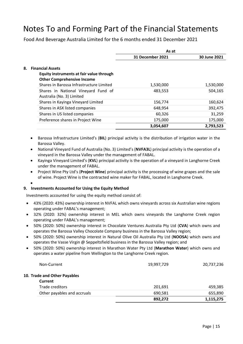Food And Beverage Australia Limited for the 6 months ended 31 December 2021

|    |                                                                                                                                                      | As at            |              |
|----|------------------------------------------------------------------------------------------------------------------------------------------------------|------------------|--------------|
|    |                                                                                                                                                      | 31 December 2021 | 30 June 2021 |
| 8. | <b>Financial Assets</b><br>Equity instruments at fair value through<br><b>Other Comprehensive Income</b><br>Shares in Barossa Infrastructure Limited | 1,530,000        | 1,530,000    |
|    | Shares in National Vineyard Fund of<br>Australia (No. 3) Limited                                                                                     | 483,553          | 504,165      |
|    | Shares in Kayinga Vineyard Limited                                                                                                                   | 156,774          | 160,624      |
|    | Shares in ASX listed companies                                                                                                                       | 648,954          | 392,475      |
|    | Shares in US listed companies                                                                                                                        | 60.326           | 31,259       |
|    | Preference shares in Project Wine                                                                                                                    | 175,000          | 175,000      |
|    |                                                                                                                                                      | 3,054,607        | 2,793,523    |

 Barossa Infrastructure Limited's (**BIL**) principal activity is the distribution of irrigation water in the Barossa Valley.

- National Vineyard Fund of Australia (No. 3) Limited's (**NVFA3L**) principal activity is the operation of a vineyard in the Barossa Valley under the management of FABAL.
- Kayinga Vineyard Limited's (**KVL**) principal activity is the operation of a vineyard in Langhorne Creek under the management of FABAL.
- Project Wine Pty Ltd's (**Project Wine**) principal activity is the processing of wine grapes and the sale of wine. Project Wine is the contracted wine maker for FABAL, located in Langhorne Creek.
- $\bullet$

#### **9. Investments Accounted for Using the Equity Method**

Investments accounted for using the equity method consist of:

- 43% (2020: 43%) ownership interest in NVFAL which owns vineyards across six Australian wine regions operating under FABAL's management;
- 32% (2020: 32%) ownership interest in MEL which owns vineyards the Langhorne Creek region operating under FABAL's management;
- 50% (2020: 50%) ownership interest in Chocolate Ventures Australia Pty Ltd (**CVA**) which owns and operates the Barossa Valley Chocolate Company business in the Barossa Valley region;
- 50% (2020: 50%) ownership interest in Natural Olive Oil Australia Pty Ltd (**NOOSA**) which owns and operates the Vasse Virgin @ Seppeltsfield business in the Barossa Valley region; and
- 50% (2020: 50%) ownership interest in Marathon Water Pty Ltd (**Marathon Water**) which owns and operates a water pipeline from Wellington to the Langhorne Creek region.

|                                         | 892,272    | 1,115,275  |
|-----------------------------------------|------------|------------|
| Other payables and accruals             | 690,581    | 655,890    |
| Trade creditors                         | 201,691    | 459,385    |
| 10. Trade and Other Payables<br>Current |            |            |
| Non-Current                             | 19,997,729 | 20,737,236 |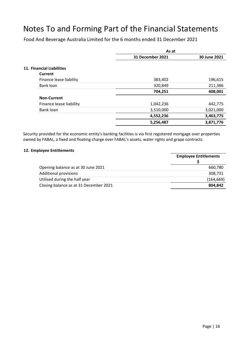Food And Beverage Australia Limited for the 6 months ended 31 December 2021

|                           | As at                   |              |
|---------------------------|-------------------------|--------------|
|                           | <b>31 December 2021</b> | 30 June 2021 |
| 11. Financial Liabilities |                         |              |
| Current                   |                         |              |
| Finance lease liability   | 383,402                 | 196,615      |
| Bank loan                 | 320,849                 | 211,386      |
|                           | 704,251                 | 408,001      |
| <b>Non-Current</b>        |                         |              |
| Finance lease liability   | 1,042,236               | 442,775      |
| Bank loan                 | 3,510,000               | 3,021,000    |
|                           | 4,552,236               | 3,463,775    |
|                           | 5,256,487               | 3,871,776    |

Security provided for the economic entity's banking facilities is via first registered mortgage over properties owned by FABAL, a fixed and floating charge over FABAL's assets, water rights and grape contracts.

#### **12. Employee Entitlements**

|                                        | <b>Employee Entitlements</b> |
|----------------------------------------|------------------------------|
| Opening balance as at 30 June 2021     | 660,780                      |
| <b>Additional provisions</b>           | 308,731                      |
| Utilised during the half year          | (164, 669)                   |
| Closing balance as at 31 December 2021 | 804.842                      |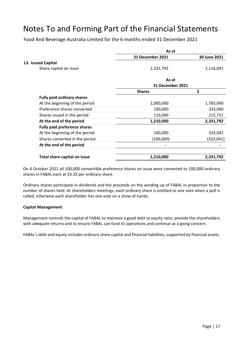Food And Beverage Australia Limited for the 6 months ended 31 December 2021

|                                     | As at                        |                                      |
|-------------------------------------|------------------------------|--------------------------------------|
|                                     | <b>31 December 2021</b>      | 30 June 2021                         |
| 13. Issued Capital                  |                              |                                      |
| Share capital on issue              | 2,331,792                    | 2,116,041                            |
|                                     | As at                        |                                      |
|                                     |                              |                                      |
|                                     | <b>Shares</b>                | \$                                   |
| <b>Fully paid ordinary shares</b>   |                              |                                      |
| At the beginning of the period      | 1,000,000                    | 1,783,000                            |
| Preference shares converted         | 100,000                      | 333,000                              |
| Shares issued in the period         | 110,000                      | 215,751                              |
| At the end of the period            | 1,210,000                    | 2,331,792                            |
| <b>Fully paid preference shares</b> |                              |                                      |
| At the beginning of the period      | 100,000                      | 333,041                              |
| Shares converted in the period      | (100,000)                    | (333,041)                            |
| At the end of the period            |                              |                                      |
|                                     |                              | 2,331,792                            |
|                                     | Total share capital on issue | <b>31 December 2021</b><br>1,210,000 |

On 4 October 2021 all 100,000 convertible preference shares on issue were converted to 100,000 ordinary shares in FABAL each at \$3.33 per ordinary share.

Ordinary shares participate in dividends and the proceeds on the winding up of FABAL in proportion to the number of shares held. At shareholders meetings, each ordinary share is entitled to one vote when a poll is called, otherwise each shareholder has one vote on a show of hands.

#### **Capital Management**

Management controls the capital of FABAL to maintain a good debt to equity ratio, provide the shareholders with adequate returns and to ensure FABAL can fund its operations and continue as a going concern.

FABAL's debt and equity includes ordinary share capital and financial liabilities, supported by financial assets.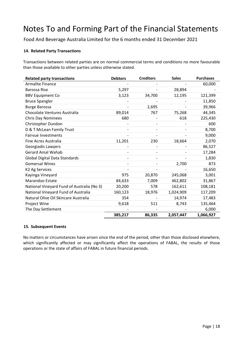Food And Beverage Australia Limited for the 6 months ended 31 December 2021

#### **14. Related Party Transactions**

Transactions between related parties are on normal commercial terms and conditions no more favourable than those available to other parties unless otherwise stated.

| <b>Related party transactions</b>          | <b>Debtors</b> | <b>Creditors</b> | <b>Sales</b> | <b>Purchases</b> |
|--------------------------------------------|----------------|------------------|--------------|------------------|
| <b>Armalite Finance</b>                    |                |                  |              | 60,000           |
| Barossa Rise                               | 5,297          |                  | 28,894       |                  |
| <b>BBV Equipment Co</b>                    | 3,123          | 34,700           | 12,195       | 121,399          |
| <b>Bruce Spangler</b>                      |                |                  |              | 11,850           |
| <b>Burge Barossa</b>                       |                | 2,695            |              | 39,966           |
| Chocolate Ventures Australia               | 89,014         | 767              | 75,268       | 44,345           |
| <b>Chris Day Nominees</b>                  | 680            |                  | 618          | 225,430          |
| Christopher Dundon                         |                |                  |              | 600              |
| D & T McLean Family Trust                  |                |                  |              | 8,700            |
| <b>Fairvue Investments</b>                 |                |                  |              | 9,000            |
| Fine Acres Australia                       | 11,201         | 230              | 18,664       | 2,070            |
| Georgiadis Lawyers                         |                |                  |              | 86,527           |
| <b>Gerard Amal Wahab</b>                   |                |                  |              | 17,284           |
| <b>Global Digital Data Standards</b>       |                |                  |              | 1,830            |
| <b>Gomersal Wines</b>                      |                |                  | 2,700        | 873              |
| K2 Ag Services                             |                |                  |              | 16,650           |
| Kayinga Vineyard                           | 975            | 20,870           | 245,068      | 3,001            |
| Marandoo Estate                            | 84,633         | 7,009            | 462,802      | 31,867           |
| National Vineyard Fund of Australia (No 3) | 20,200         | 578              | 162,611      | 108,181          |
| National Vineyard Fund of Australia        | 160,123        | 18,976           | 1,024,909    | 117,209          |
| Natural Olive Oil Skincare Australia       | 354            |                  | 14,974       | 17,483           |
| Project Wine                               | 9,618          | 511              | 8,743        | 135,464          |
| The Day Settlement                         |                |                  |              | 6,000            |
|                                            | 385,217        | 86,335           | 2,057,447    | 1,066,927        |

#### **15. Subsequent Events**

No matters or circumstances have arisen since the end of the period, other than those disclosed elsewhere, which significantly affected or may significantly affect the operations of FABAL, the results of those operations or the state of affairs of FABAL in future financial periods.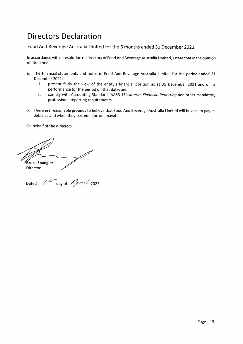## **Directors Declaration**

Food And Beverage Australia Limited for the 6 months ended 31 December 2021

In accordance with a resolution of directors of Food And Beverage Australia Limited, I state that in the opinion of directors:

- a. The financial statements and notes of Food And Beverage Australia Limited for the period ended 31 December 2021:
	- present fairly the view of the entity's financial position as at 31 December 2021 and of its i. performance for the period on that date; and
	- ii. comply with Accounting Standards AASB 134 Interim Financial Reporting and other mandatory professional reporting requirements.
- b. There are reasonable grounds to believe that Food And Beverage Australia Limited will be able to pay its debts as and when they become due and payable.

On behalf of the directors

Bruce Spangler Director

Dated /  $d\overline{f}$  day of  $\overline{\mathscr{A}}$   $\overline{\mathscr{A}}$  2022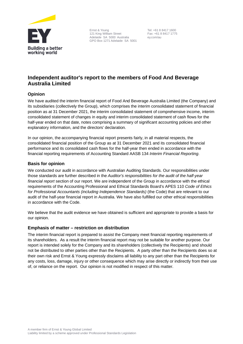

Ernst & Young 121 King William Street Adelaide SA 5000 Australia GPO Box 1271 Adelaide SA 5001

 Tel: +61 8 8417 1600 Fax: +61 8 8417 1775 ey.com/au

#### **Independent auditor's report to the members of Food And Beverage Australia Limited**

#### **Opinion**

We have audited the interim financial report of Food And Beverage Australia Limited (the Company) and its subsidiaries (collectively the Group), which comprises the interim consolidated statement of financial position as at 31 December 2021, the interim consolidated statement of comprehensive income, interim consolidated statement of changes in equity and interim consolidated statement of cash flows for the half-year ended on that date, notes comprising a summary of significant accounting policies and other explanatory information, and the directors' declaration.

In our opinion, the accompanying financial report presents fairly, in all material respects, the consolidated financial position of the Group as at 31 December 2021 and its consolidated financial performance and its consolidated cash flows for the half-year then ended in accordance with the financial reporting requirements of Accounting Standard AASB 134 *Interim Financial Reporting*.

#### **Basis for opinion**

We conducted our audit in accordance with Australian Auditing Standards. Our responsibilities under those standards are further described in the *Auditor's responsibilities for the audit of the half-year financial report* section of our report. We are independent of the Group in accordance with the ethical requirements of the Accounting Professional and Ethical Standards Board's APES 110 *Code of Ethics for Professional Accountants (including Independence Standards)* (the Code) that are relevant to our audit of the half-year financial report in Australia. We have also fulfilled our other ethical responsibilities in accordance with the Code.

We believe that the audit evidence we have obtained is sufficient and appropriate to provide a basis for our opinion.

#### **Emphasis of matter – restriction on distribution**

The interim financial report is prepared to assist the Company meet financial reporting requirements of its shareholders. As a result the interim financial report may not be suitable for another purpose. Our report is intended solely for the Company and its shareholders (collectively the Recipients) and should not be distributed to other parties other than the Recipients. A party other than the Recipients does so at their own risk and Ernst & Young expressly disclaims all liability to any part other than the Recipients for any costs, loss, damage, injury or other consequence which may arise directly or indirectly from their use of, or reliance on the report. Our opinion is not modified in respect of this matter.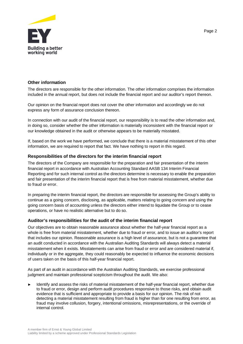

#### **Other information**

The directors are responsible for the other information. The other information comprises the information included in the annual report, but does not include the financial report and our auditor's report thereon.

Our opinion on the financial report does not cover the other information and accordingly we do not express any form of assurance conclusion thereon.

In connection with our audit of the financial report, our responsibility is to read the other information and, in doing so, consider whether the other information is materially inconsistent with the financial report or our knowledge obtained in the audit or otherwise appears to be materially misstated.

If, based on the work we have performed, we conclude that there is a material misstatement of this other information, we are required to report that fact. We have nothing to report in this regard.

#### **Responsibilities of the directors for the interim financial report**

The directors of the Company are responsible for the preparation and fair presentation of the interim financial report in accordance with Australian Accounting Standard AASB 134 Interim Financial Reporting and for such internal control as the directors determine is necessary to enable the preparation and fair presentation of the interim financial report that is free from material misstatement, whether due to fraud or error.

In preparing the interim financial report, the directors are responsible for assessing the Group's ability to continue as a going concern, disclosing, as applicable, matters relating to going concern and using the going concern basis of accounting unless the directors either intend to liquidate the Group or to cease operations, or have no realistic alternative but to do so.

#### **Auditor's responsibilities for the audit of the interim financial report**

Our objectives are to obtain reasonable assurance about whether the half-year financial report as a whole is free from material misstatement, whether due to fraud or error, and to issue an auditor's report that includes our opinion. Reasonable assurance is a high level of assurance, but is not a guarantee that an audit conducted in accordance with the Australian Auditing Standards will always detect a material misstatement when it exists. Misstatements can arise from fraud or error and are considered material if, individually or in the aggregate, they could reasonably be expected to influence the economic decisions of users taken on the basis of this half-year financial report.

As part of an audit in accordance with the Australian Auditing Standards, we exercise professional judgment and maintain professional scepticism throughout the audit. We also:

Identify and assess the risks of material misstatement of the half-year financial report, whether due to fraud or error, design and perform audit procedures responsive to those risks, and obtain audit evidence that is sufficient and appropriate to provide a basis for our opinion. The risk of not detecting a material misstatement resulting from fraud is higher than for one resulting from error, as fraud may involve collusion, forgery, intentional omissions, misrepresentations, or the override of internal control.